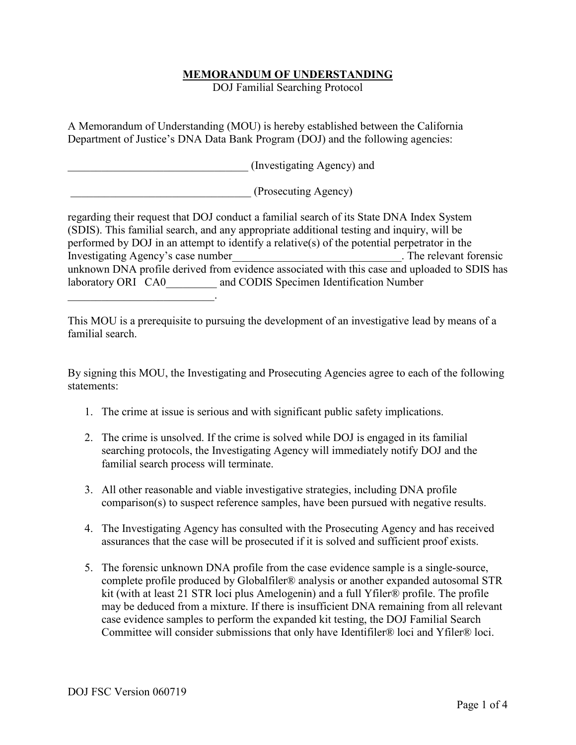## **MEMORANDUM OF UNDERSTANDING**

DOJ Familial Searching Protocol

A Memorandum of Understanding (MOU) is hereby established between the California Department of Justice's DNA Data Bank Program (DOJ) and the following agencies:

(Investigating Agency) and

\_\_\_\_\_\_\_\_\_\_\_\_\_\_\_\_\_\_\_\_\_\_\_\_\_\_\_\_\_\_\_\_ (Prosecuting Agency)

regarding their request that DOJ conduct a familial search of its State DNA Index System (SDIS). This familial search, and any appropriate additional testing and inquiry, will be performed by DOJ in an attempt to identify a relative(s) of the potential perpetrator in the Investigating Agency's case number The relevant forensic unknown DNA profile derived from evidence associated with this case and uploaded to SDIS has laboratory ORI CA0 and CODIS Specimen Identification Number

This MOU is a prerequisite to pursuing the development of an investigative lead by means of a familial search.

By signing this MOU, the Investigating and Prosecuting Agencies agree to each of the following statements:

- 1. The crime at issue is serious and with significant public safety implications.
- 2. The crime is unsolved. If the crime is solved while DOJ is engaged in its familial searching protocols, the Investigating Agency will immediately notify DOJ and the familial search process will terminate.
- 3. All other reasonable and viable investigative strategies, including DNA profile comparison(s) to suspect reference samples, have been pursued with negative results.
- 4. The Investigating Agency has consulted with the Prosecuting Agency and has received assurances that the case will be prosecuted if it is solved and sufficient proof exists.
- 5. The forensic unknown DNA profile from the case evidence sample is a single-source, complete profile produced by Globalfiler® analysis or another expanded autosomal STR kit (with at least 21 STR loci plus Amelogenin) and a full Yfiler® profile. The profile may be deduced from a mixture. If there is insufficient DNA remaining from all relevant case evidence samples to perform the expanded kit testing, the DOJ Familial Search Committee will consider submissions that only have Identifiler® loci and Yfiler® loci.

 $\mathcal{L}_\text{max}$  , and the set of the set of the set of the set of the set of the set of the set of the set of the set of the set of the set of the set of the set of the set of the set of the set of the set of the set of the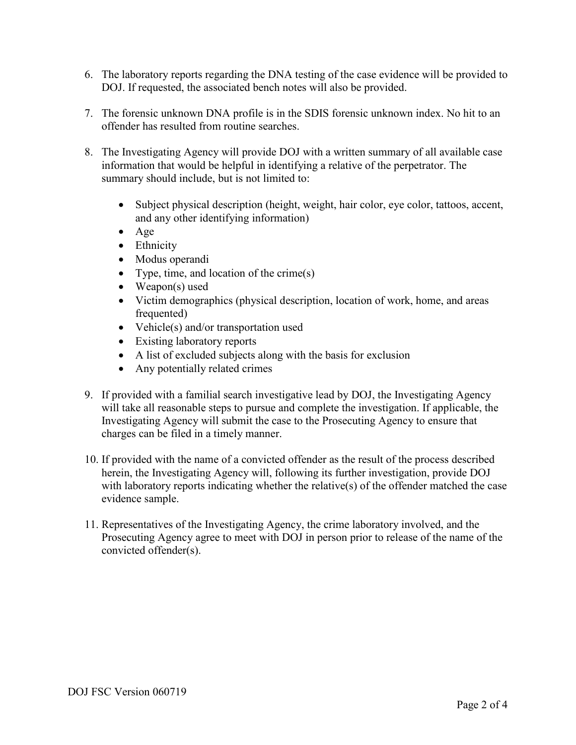- 6. The laboratory reports regarding the DNA testing of the case evidence will be provided to DOJ. If requested, the associated bench notes will also be provided.
- 7. The forensic unknown DNA profile is in the SDIS forensic unknown index. No hit to an offender has resulted from routine searches.
- 8. The Investigating Agency will provide DOJ with a written summary of all available case information that would be helpful in identifying a relative of the perpetrator. The summary should include, but is not limited to:
	- Subject physical description (height, weight, hair color, eye color, tattoos, accent, and any other identifying information)
	- Age
	- Ethnicity
	- Modus operandi
	- Type, time, and location of the crime(s)
	- Weapon(s) used
	- Victim demographics (physical description, location of work, home, and areas frequented)
	- Vehicle(s) and/or transportation used
	- Existing laboratory reports
	- A list of excluded subjects along with the basis for exclusion
	- Any potentially related crimes
- 9. If provided with a familial search investigative lead by DOJ, the Investigating Agency will take all reasonable steps to pursue and complete the investigation. If applicable, the Investigating Agency will submit the case to the Prosecuting Agency to ensure that charges can be filed in a timely manner.
- 10. If provided with the name of a convicted offender as the result of the process described herein, the Investigating Agency will, following its further investigation, provide DOJ with laboratory reports indicating whether the relative(s) of the offender matched the case evidence sample.
- 11. Representatives of the Investigating Agency, the crime laboratory involved, and the Prosecuting Agency agree to meet with DOJ in person prior to release of the name of the convicted offender(s).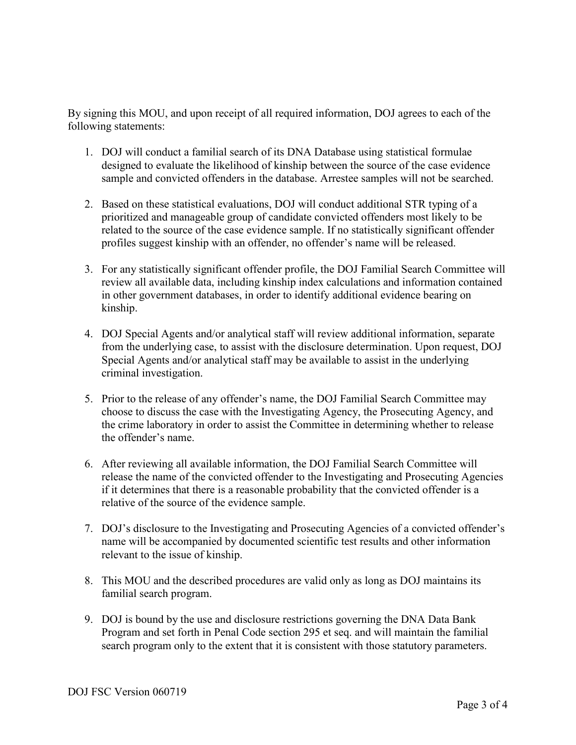By signing this MOU, and upon receipt of all required information, DOJ agrees to each of the following statements:

- 1. DOJ will conduct a familial search of its DNA Database using statistical formulae designed to evaluate the likelihood of kinship between the source of the case evidence sample and convicted offenders in the database. Arrestee samples will not be searched.
- 2. Based on these statistical evaluations, DOJ will conduct additional STR typing of a prioritized and manageable group of candidate convicted offenders most likely to be related to the source of the case evidence sample. If no statistically significant offender profiles suggest kinship with an offender, no offender's name will be released.
- 3. For any statistically significant offender profile, the DOJ Familial Search Committee will review all available data, including kinship index calculations and information contained in other government databases, in order to identify additional evidence bearing on kinship.
- 4. DOJ Special Agents and/or analytical staff will review additional information, separate from the underlying case, to assist with the disclosure determination. Upon request, DOJ Special Agents and/or analytical staff may be available to assist in the underlying criminal investigation.
- 5. Prior to the release of any offender's name, the DOJ Familial Search Committee may choose to discuss the case with the Investigating Agency, the Prosecuting Agency, and the crime laboratory in order to assist the Committee in determining whether to release the offender's name.
- 6. After reviewing all available information, the DOJ Familial Search Committee will release the name of the convicted offender to the Investigating and Prosecuting Agencies if it determines that there is a reasonable probability that the convicted offender is a relative of the source of the evidence sample.
- 7. DOJ's disclosure to the Investigating and Prosecuting Agencies of a convicted offender's name will be accompanied by documented scientific test results and other information relevant to the issue of kinship.
- 8. This MOU and the described procedures are valid only as long as DOJ maintains its familial search program.
- 9. DOJ is bound by the use and disclosure restrictions governing the DNA Data Bank Program and set forth in Penal Code section 295 et seq. and will maintain the familial search program only to the extent that it is consistent with those statutory parameters.